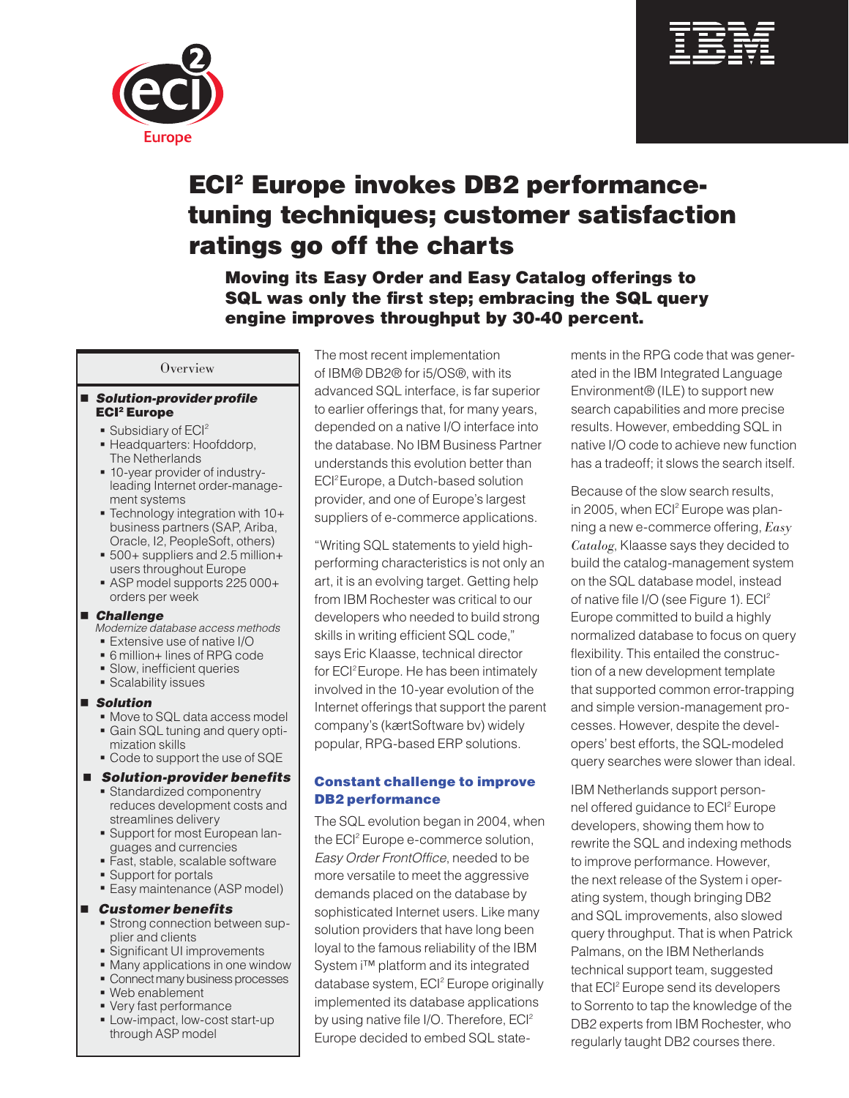



# ECI2 Europe invokes DB2 performancetuning techniques; customer satisfaction ratings go off the charts

Moving its Easy Order and Easy Catalog offerings to SQL was only the first step; embracing the SQL query engine improves throughput by 30-40 percent.

#### **Overview**

#### *Solution-provider profile* ECI2 Europe

- Subsidiary of ECI<sup>2</sup>
- **Headquarters: Hoofddorp,** The Netherlands
- 10-year provider of industry leading Internet order-management systems
- Technology integration with 10+ business partners (SAP, Ariba, Oracle, I2, PeopleSoft, others)
- 500+ suppliers and 2.5 million+ users throughout Europe
- ASP model supports 225 000+ orders per week

#### *Challenge*

- *Modernize database access methods*
- Extensive use of native I/O
- 6 million+ lines of RPG code
- Slow, inefficient queries
- **Scalability issues**

#### *Solution*

- Move to SQL data access model
- Gain SQL tuning and query opti-
- mization skills **Code to support the use of SQE**

## *Solution-provider benefits*

- **Standardized componentry** reduces development costs and streamlines delivery
- **Support for most European lan**guages and currencies
- Fast, stable, scalable software
- **Support for portals**
- Easy maintenance (ASP model)

#### *Customer benefits*

- **Strong connection between sup**plier and clients
- **Significant UI improvements**
- Many applications in one window
- **Connect many business processes**
- Web enablement
- Very fast performance
- **Low-impact, low-cost start-up** through ASP model

The most recent implementation of IBM® DB2® for i5/OS®, with its advanced SQL interface, is far superior to earlier offerings that, for many years, depended on a native I/O interface into the database. No IBM Business Partner understands this evolution better than ECI<sup>2</sup> Europe, a Dutch-based solution provider, and one of Europe's largest suppliers of e-commerce applications.

"Writing SQL statements to yield highperforming characteristics is not only an art, it is an evolving target. Getting help from IBM Rochester was critical to our developers who needed to build strong skills in writing efficient SQL code," says Eric Klaasse, technical director for ECI<sup>2</sup> Europe. He has been intimately involved in the 10-year evolution of the Internet offerings that support the parent company's (kærtSoftware bv) widely popular, RPG-based ERP solutions.

## Constant challenge to improve DB2 performance

The SQL evolution began in 2004, when the ECI<sup>2</sup> Europe e-commerce solution, *Easy Order FrontOffice*, needed to be more versatile to meet the aggressive demands placed on the database by sophisticated Internet users. Like many solution providers that have long been loyal to the famous reliability of the IBM System i™ platform and its integrated database system, ECI<sup>2</sup> Europe originally implemented its database applications by using native file I/O. Therefore, ECI<sup>2</sup> Europe decided to embed SQL statements in the RPG code that was generated in the IBM Integrated Language Environment® (ILE) to support new search capabilities and more precise results. However, embedding SQL in native I/O code to achieve new function has a tradeoff; it slows the search itself.

Because of the slow search results, in 2005, when ECI<sup>2</sup> Europe was planning a new e-commerce offering, *Easy Catalog*, Klaasse says they decided to build the catalog-management system on the SQL database model, instead of native file I/O (see Figure 1).  $ECI<sup>2</sup>$ Europe committed to build a highly normalized database to focus on query flexibility. This entailed the construction of a new development template that supported common error-trapping and simple version-management processes. However, despite the developers' best efforts, the SQL-modeled query searches were slower than ideal.

IBM Netherlands support personnel offered guidance to ECI<sup>2</sup> Europe developers, showing them how to rewrite the SQL and indexing methods to improve performance. However, the next release of the System i operating system, though bringing DB2 and SQL improvements, also slowed query throughput. That is when Patrick Palmans, on the IBM Netherlands technical support team, suggested that ECI<sup>2</sup> Europe send its developers to Sorrento to tap the knowledge of the DB2 experts from IBM Rochester, who regularly taught DB2 courses there.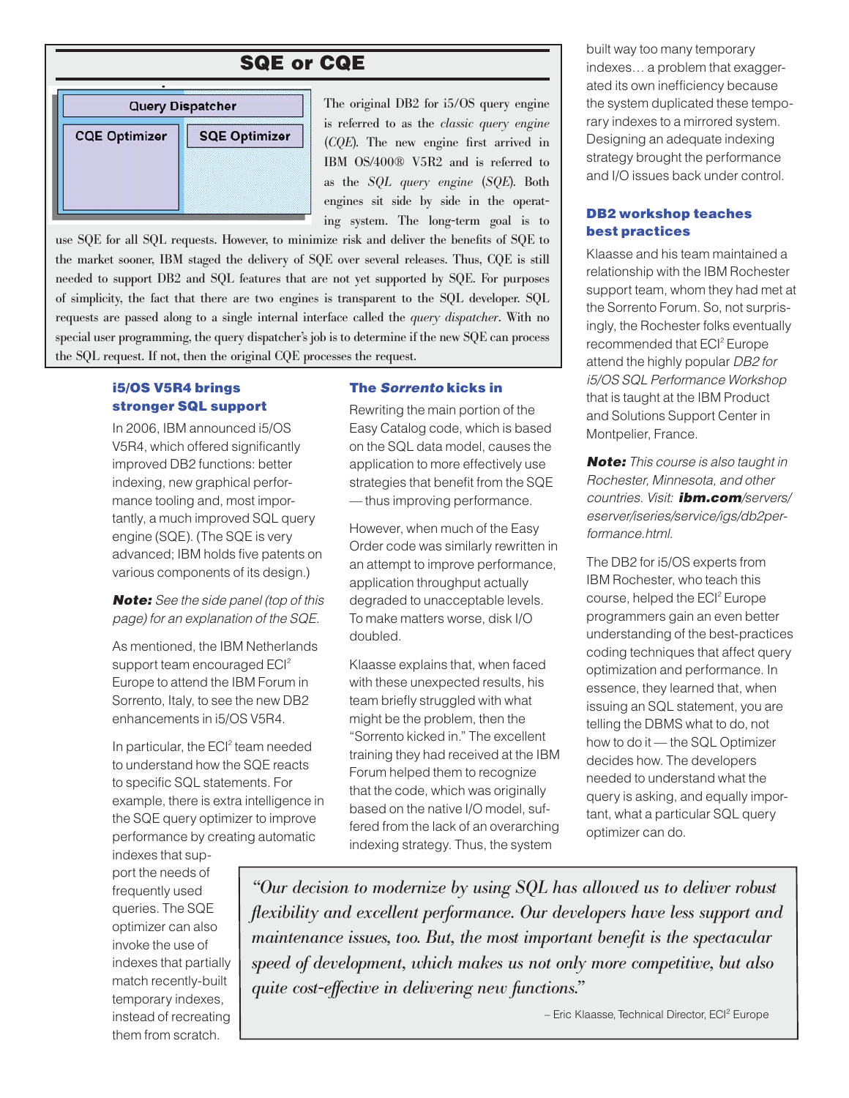## SQE or CQE



The original DB2 for i5/OS query engine is referred to as the *classic query engine* (*CQE*). The new engine first arrived in IBM OS/400® V5R2 and is referred to as the *SQL query engine* (*SQE*). Both engines sit side by side in the operating system. The long-term goal is to

use SQE for all SQL requests. However, to minimize risk and deliver the benefits of SQE to the market sooner, IBM staged the delivery of SQE over several releases. Thus, CQE is still needed to support DB2 and SQL features that are not yet supported by SQE. For purposes of simplicity, the fact that there are two engines is transparent to the SQL developer. SQL requests are passed along to a single internal interface called the *query dispatcher*. With no special user programming, the query dispatcher's job is to determine if the new SQE can process the SQL request. If not, then the original CQE processes the request.

## i5/OS V5R4 brings stronger SQL support

In 2006, IBM announced i5/OS V5R4, which offered significantly improved DB2 functions: better indexing, new graphical performance tooling and, most importantly, a much improved SQL query engine (SQE). (The SQE is very advanced; IBM holds five patents on various components of its design.)

*Note: See the side panel (top of this page) for an explanation of the SQE.*

As mentioned, the IBM Netherlands support team encouraged ECI<sup>2</sup> Europe to attend the IBM Forum in Sorrento, Italy, to see the new DB2 enhancements in i5/OS V5R4.

In particular, the ECI<sup>2</sup> team needed to understand how the SQE reacts to specific SQL statements. For example, there is extra intelligence in the SQE query optimizer to improve performance by creating automatic

indexes that support the needs of frequently used queries. The SQE optimizer can also invoke the use of indexes that partially match recently-built temporary indexes, instead of recreating them from scratch.

### The *Sorrento* kicks in

Rewriting the main portion of the Easy Catalog code, which is based on the SQL data model, causes the application to more effectively use strategies that benefit from the SQE — thus improving performance.

However, when much of the Easy Order code was similarly rewritten in an attempt to improve performance, application throughput actually degraded to unacceptable levels. To make matters worse, disk I/O doubled.

Klaasse explains that, when faced with these unexpected results, his team briefly struggled with what might be the problem, then the "Sorrento kicked in." The excellent training they had received at the IBM Forum helped them to recognize that the code, which was originally based on the native I/O model, suffered from the lack of an overarching indexing strategy. Thus, the system

built way too many temporary indexes… a problem that exaggerated its own inefficiency because the system duplicated these temporary indexes to a mirrored system. Designing an adequate indexing strategy brought the performance and I/O issues back under control.

## DB2 workshop teaches best practices

Klaasse and his team maintained a relationship with the IBM Rochester support team, whom they had met at the Sorrento Forum. So, not surprisingly, the Rochester folks eventually recommended that ECI<sup>2</sup> Europe attend the highly popular *DB2 for i5/OS SQL Performance Workshop* that is taught at the IBM Product and Solutions Support Center in Montpelier, France.

*Note: This course is also taught in Rochester, Minnesota, and other countries. Visit: ibm.com/servers/ eserver/iseries/service/igs/db2performance.html.*

The DB2 for i5/OS experts from IBM Rochester, who teach this course, helped the ECI<sup>2</sup> Europe programmers gain an even better understanding of the best-practices coding techniques that affect query optimization and performance. In essence, they learned that, when issuing an SQL statement, you are telling the DBMS what to do, not how to do it — the SQL Optimizer decides how. The developers needed to understand what the query is asking, and equally important, what a particular SQL query optimizer can do.

*"Our decision to modernize by using SQL has allowed us to deliver robust flexibility and excellent performance. Our developers have less support and maintenance issues, too. But, the most important benefit is the spectacular speed of development, which makes us not only more competitive, but also quite cost-effective in delivering new functions."* 

– Eric Klaasse, Technical Director, ECI2 Europe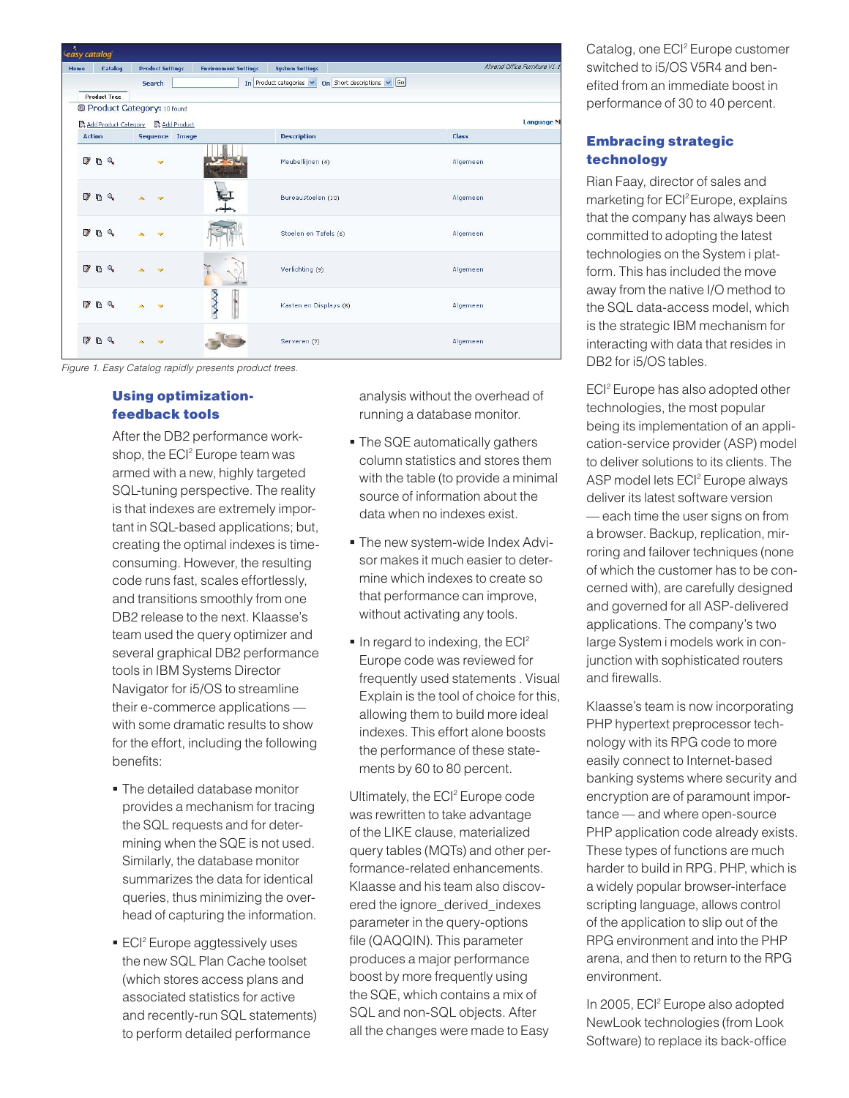| Home          |          | Catalog                  |                      | <b>Product Settings</b>    | <b>Environment Settings</b> | <b>System Settings</b>                                       | Ahrend Office Furniture V1.1 |
|---------------|----------|--------------------------|----------------------|----------------------------|-----------------------------|--------------------------------------------------------------|------------------------------|
|               |          |                          |                      | <b>Search</b>              |                             | In Product categories $\vee$ On Short descriptions $\vee$ 60 |                              |
|               |          | <b>Product Tree</b>      |                      |                            |                             |                                                              |                              |
|               |          |                          |                      | Product Category: 10 found |                             |                                                              |                              |
|               |          |                          | Add Product Category | Add Product                |                             |                                                              | <b>Language NL</b>           |
| <b>Action</b> |          |                          |                      |                            | Sequence Image              | <b>Description</b>                                           | Class                        |
| - 77          | R Q      |                          |                      |                            |                             | Meubellijnen (4)                                             | Algemeen                     |
| 7             | 心        | $^{\circ}$               |                      |                            |                             | Bureaustoelen (10)                                           | Algemeen                     |
| 7             | <b>B</b> | $\mathcal{Q}_\mathbf{c}$ |                      |                            |                             | Stoelen en Tafels (6)                                        | Algemeen                     |
| $\mathcal{V}$ | G        | $\mathbf{Q}_i$           |                      | $\overline{\phantom{a}}$   |                             | Verlichting (9)                                              | Algemeen                     |
| 79            | ß.       | $\mathbb{Q}$             |                      |                            |                             | Kasten en Displays (8)                                       | Algemeen                     |
| 7             | r,       | Q.                       |                      |                            |                             | Serveren (7)                                                 | Algemeen                     |

*Figure 1. Easy Catalog rapidly presents product trees.*

## Using optimizationfeedback tools

After the DB2 performance workshop, the ECI<sup>2</sup> Europe team was armed with a new, highly targeted SQL-tuning perspective. The reality is that indexes are extremely important in SQL-based applications; but, creating the optimal indexes is timeconsuming. However, the resulting code runs fast, scales effortlessly, and transitions smoothly from one DB2 release to the next. Klaasse's team used the query optimizer and several graphical DB2 performance tools in IBM Systems Director Navigator for i5/OS to streamline their e-commerce applications with some dramatic results to show for the effort, including the following benefits:

- The detailed database monitor provides a mechanism for tracing the SQL requests and for determining when the SQE is not used. Similarly, the database monitor summarizes the data for identical queries, thus minimizing the overhead of capturing the information.
- **ECI<sup>2</sup>** Europe aggtessively uses the new SQL Plan Cache toolset (which stores access plans and associated statistics for active and recently-run SQL statements) to perform detailed performance

analysis without the overhead of running a database monitor.

- **The SQE automatically gathers** column statistics and stores them with the table (to provide a minimal source of information about the data when no indexes exist.
- The new system-wide Index Advi sor makes it much easier to determine which indexes to create so that performance can improve, without activating any tools.
- In regard to indexing, the ECI<sup>2</sup> Europe code was reviewed for frequently used statements . Visual Explain is the tool of choice for this, allowing them to build more ideal indexes. This effort alone boosts the performance of these statements by 60 to 80 percent.

Ultimately, the ECI<sup>2</sup> Europe code was rewritten to take advantage of the LIKE clause, materialized query tables (MQTs) and other performance-related enhancements. Klaasse and his team also discovered the ignore\_derived\_indexes parameter in the query-options file (QAQQIN). This parameter produces a major performance boost by more frequently using the SQE, which contains a mix of SQL and non-SQL objects. After all the changes were made to Easy

Catalog, one ECI<sup>2</sup> Europe customer switched to i5/OS V5R4 and benefited from an immediate boost in performance of 30 to 40 percent.

## Embracing strategic technology

Rian Faay, director of sales and marketing for ECI<sup>2</sup> Europe, explains that the company has always been committed to adopting the latest technologies on the System i platform. This has included the move away from the native I/O method to the SQL data-access model, which is the strategic IBM mechanism for interacting with data that resides in DB2 for i5/OS tables.

ECI<sup>2</sup> Europe has also adopted other technologies, the most popular being its implementation of an application-service provider (ASP) model to deliver solutions to its clients. The ASP model lets ECI<sup>2</sup> Europe always deliver its latest software version — each time the user signs on from a browser. Backup, replication, mirroring and failover techniques (none of which the customer has to be concerned with), are carefully designed and governed for all ASP-delivered applications. The company's two large System i models work in conjunction with sophisticated routers and firewalls.

Klaasse's team is now incorporating PHP hypertext preprocessor technology with its RPG code to more easily connect to Internet-based banking systems where security and encryption are of paramount importance — and where open-source PHP application code already exists. These types of functions are much harder to build in RPG. PHP, which is a widely popular browser-interface scripting language, allows control of the application to slip out of the RPG environment and into the PHP arena, and then to return to the RPG environment.

In 2005, ECI<sup>2</sup> Europe also adopted NewLook technologies (from Look Software) to replace its back-office